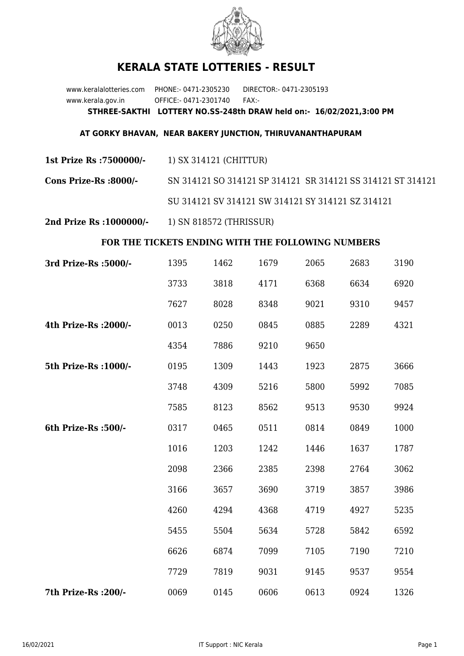

## **KERALA STATE LOTTERIES - RESULT**

www.keralalotteries.com PHONE:- 0471-2305230 DIRECTOR:- 0471-2305193 www.kerala.gov.in OFFICE:- 0471-2301740 FAX:- **STHREE-SAKTHI LOTTERY NO.SS-248th DRAW held on:- 16/02/2021,3:00 PM**

## **AT GORKY BHAVAN, NEAR BAKERY JUNCTION, THIRUVANANTHAPURAM**

**1st Prize Rs :7500000/-** 1) SX 314121 (CHITTUR)

**Cons Prize-Rs :8000/-** SN 314121 SO 314121 SP 314121 SR 314121 SS 314121 ST 314121 SU 314121 SV 314121 SW 314121 SY 314121 SZ 314121

**2nd Prize Rs :1000000/-** 1) SN 818572 (THRISSUR)

## **FOR THE TICKETS ENDING WITH THE FOLLOWING NUMBERS**

| 3rd Prize-Rs : 5000/- | 1395 | 1462 | 1679 | 2065 | 2683 | 3190 |
|-----------------------|------|------|------|------|------|------|
|                       | 3733 | 3818 | 4171 | 6368 | 6634 | 6920 |
|                       | 7627 | 8028 | 8348 | 9021 | 9310 | 9457 |
| 4th Prize-Rs : 2000/- | 0013 | 0250 | 0845 | 0885 | 2289 | 4321 |
|                       | 4354 | 7886 | 9210 | 9650 |      |      |
| 5th Prize-Rs : 1000/- | 0195 | 1309 | 1443 | 1923 | 2875 | 3666 |
|                       | 3748 | 4309 | 5216 | 5800 | 5992 | 7085 |
|                       | 7585 | 8123 | 8562 | 9513 | 9530 | 9924 |
| 6th Prize-Rs :500/-   | 0317 | 0465 | 0511 | 0814 | 0849 | 1000 |
|                       | 1016 | 1203 | 1242 | 1446 | 1637 | 1787 |
|                       | 2098 | 2366 | 2385 | 2398 | 2764 | 3062 |
|                       | 3166 | 3657 | 3690 | 3719 | 3857 | 3986 |
|                       | 4260 | 4294 | 4368 | 4719 | 4927 | 5235 |
|                       | 5455 | 5504 | 5634 | 5728 | 5842 | 6592 |
|                       | 6626 | 6874 | 7099 | 7105 | 7190 | 7210 |
|                       | 7729 | 7819 | 9031 | 9145 | 9537 | 9554 |
| 7th Prize-Rs : 200/-  | 0069 | 0145 | 0606 | 0613 | 0924 | 1326 |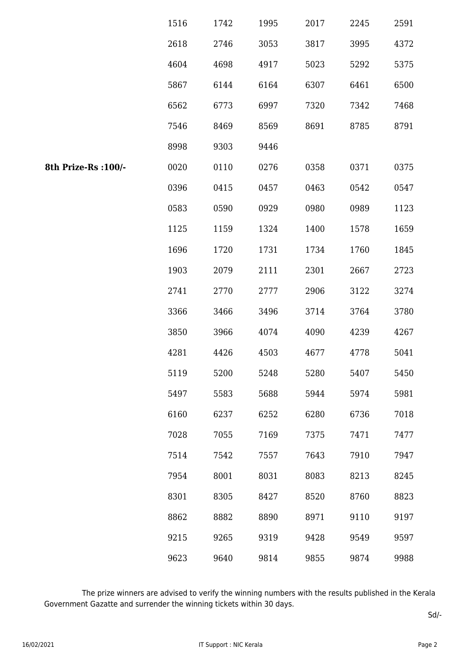|                      | 1516 | 1742 | 1995 | 2017 | 2245 | 2591 |
|----------------------|------|------|------|------|------|------|
|                      | 2618 | 2746 | 3053 | 3817 | 3995 | 4372 |
|                      | 4604 | 4698 | 4917 | 5023 | 5292 | 5375 |
|                      | 5867 | 6144 | 6164 | 6307 | 6461 | 6500 |
|                      | 6562 | 6773 | 6997 | 7320 | 7342 | 7468 |
|                      | 7546 | 8469 | 8569 | 8691 | 8785 | 8791 |
|                      | 8998 | 9303 | 9446 |      |      |      |
| 8th Prize-Rs : 100/- | 0020 | 0110 | 0276 | 0358 | 0371 | 0375 |
|                      | 0396 | 0415 | 0457 | 0463 | 0542 | 0547 |
|                      | 0583 | 0590 | 0929 | 0980 | 0989 | 1123 |
|                      | 1125 | 1159 | 1324 | 1400 | 1578 | 1659 |
|                      | 1696 | 1720 | 1731 | 1734 | 1760 | 1845 |
|                      | 1903 | 2079 | 2111 | 2301 | 2667 | 2723 |
|                      | 2741 | 2770 | 2777 | 2906 | 3122 | 3274 |
|                      | 3366 | 3466 | 3496 | 3714 | 3764 | 3780 |
|                      | 3850 | 3966 | 4074 | 4090 | 4239 | 4267 |
|                      | 4281 | 4426 | 4503 | 4677 | 4778 | 5041 |
|                      | 5119 | 5200 | 5248 | 5280 | 5407 | 5450 |
|                      | 5497 | 5583 | 5688 | 5944 | 5974 | 5981 |
|                      | 6160 | 6237 | 6252 | 6280 | 6736 | 7018 |
|                      | 7028 | 7055 | 7169 | 7375 | 7471 | 7477 |
|                      | 7514 | 7542 | 7557 | 7643 | 7910 | 7947 |
|                      | 7954 | 8001 | 8031 | 8083 | 8213 | 8245 |
|                      | 8301 | 8305 | 8427 | 8520 | 8760 | 8823 |
|                      | 8862 | 8882 | 8890 | 8971 | 9110 | 9197 |
|                      | 9215 | 9265 | 9319 | 9428 | 9549 | 9597 |
|                      | 9623 | 9640 | 9814 | 9855 | 9874 | 9988 |

 The prize winners are advised to verify the winning numbers with the results published in the Kerala Government Gazatte and surrender the winning tickets within 30 days.